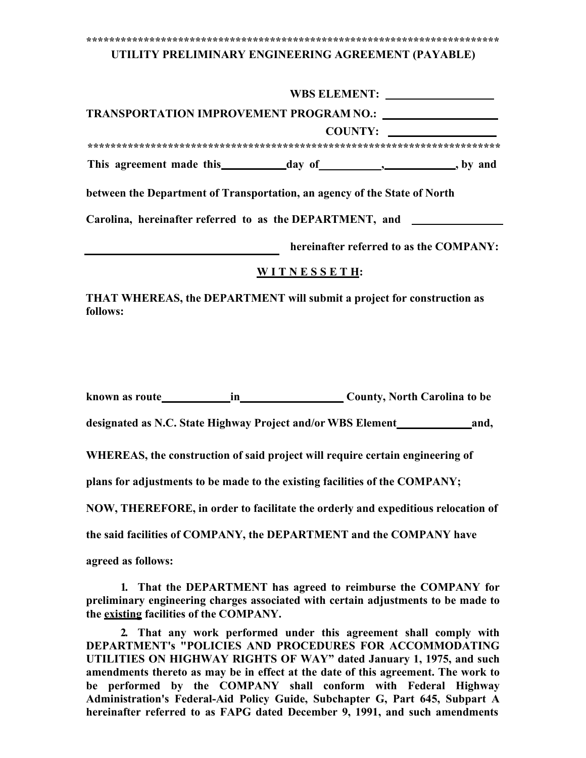#### 

#### UTILITY PRELIMINARY ENGINEERING AGREEMENT (PAYABLE)

|                                                                           | <b>WBS ELEMENT:</b> |
|---------------------------------------------------------------------------|---------------------|
| TRANSPORTATION IMPROVEMENT PROGRAM NO.:                                   |                     |
|                                                                           | <b>COUNTY:</b>      |
|                                                                           |                     |
|                                                                           | , by and            |
| between the Department of Transportation, an agency of the State of North |                     |
| Carolina, hereinafter referred to as the DEPARTMENT, and                  |                     |

hereinafter referred to as the COMPANY:

### WITNESSETH:

THAT WHEREAS, the DEPARTMENT will submit a project for construction as follows:

WHEREAS, the construction of said project will require certain engineering of

plans for adjustments to be made to the existing facilities of the COMPANY;

NOW, THEREFORE, in order to facilitate the orderly and expeditious relocation of

the said facilities of COMPANY, the DEPARTMENT and the COMPANY have

agreed as follows:

1. That the DEPARTMENT has agreed to reimburse the COMPANY for preliminary engineering charges associated with certain adjustments to be made to the existing facilities of the COMPANY.

2. That any work performed under this agreement shall comply with DEPARTMENT's "POLICIES AND PROCEDURES FOR ACCOMMODATING UTILITIES ON HIGHWAY RIGHTS OF WAY" dated January 1, 1975, and such amendments thereto as may be in effect at the date of this agreement. The work to be performed by the COMPANY shall conform with Federal Highway Administration's Federal-Aid Policy Guide, Subchapter G, Part 645, Subpart A hereinafter referred to as FAPG dated December 9, 1991, and such amendments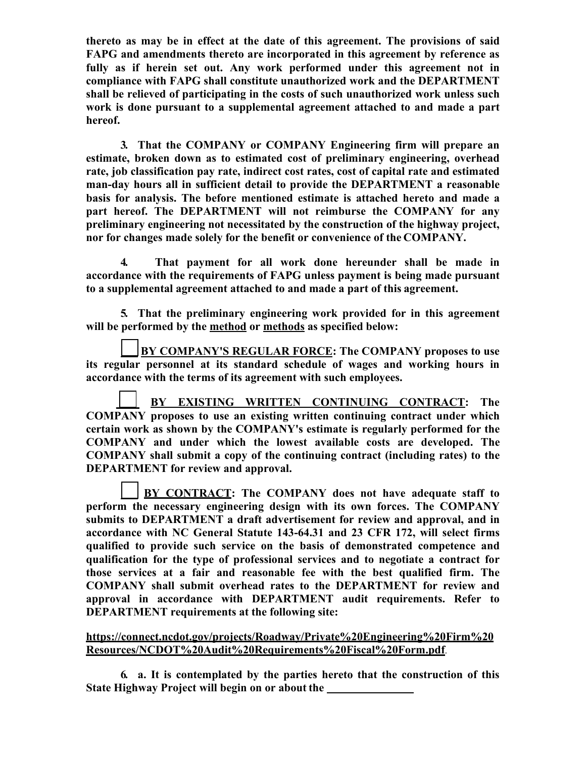**thereto as may be in effect at the date of this agreement. The provisions of said FAPG and amendments thereto are incorporated in this agreement by reference as fully as if herein set out. Any work performed under this agreement not in compliance with FAPG shall constitute unauthorized work and the DEPARTMENT shall be relieved of participating in the costs of such unauthorized work unless such work is done pursuant to a supplemental agreement attached to and made a part hereof.**

**3. That the COMPANY or COMPANY Engineering firm will prepare an estimate, broken down as to estimated cost of preliminary engineering, overhead rate, job classification pay rate, indirect cost rates, cost of capital rate and estimated man-day hours all in sufficient detail to provide the DEPARTMENT a reasonable basis for analysis. The before mentioned estimate is attached hereto and made a part hereof. The DEPARTMENT will not reimburse the COMPANY for any preliminary engineering not necessitated by the construction of the highway project, nor for changes made solely for the benefit or convenience of the COMPANY.**

**4. That payment for all work done hereunder shall be made in accordance with the requirements of FAPG unless payment is being made pursuant to a supplemental agreement attached to and made a part of this agreement.**

**5. That the preliminary engineering work provided for in this agreement will be performed by the method or methods as specified below:**

**\_\_ BY COMPANY'S REGULAR FORCE: The COMPANY proposes to use its regular personnel at its standard schedule of wages and working hours in accordance with the terms of its agreement with such employees.**

**\_\_ COMPANY proposes to use an existing written continuing contract under which certain work as shown by the COMPANY's estimate is regularly performed for the COMPANY and under which the lowest available costs are developed. The COMPANY shall submit a copy of the continuing contract (including rates) to the DEPARTMENT for review and approval. \_ BY EXISTING WRITTEN CONTINUING CONTRACT: The**

**BY CONTRACT: The COMPANY does not have adequate staff to perform the necessary engineering design with its own forces. The COMPANY submits to DEPARTMENT a draft advertisement for review and approval, and in accordance with NC General Statute 143-64.31 and 23 CFR 172, will select firms qualified to provide such service on the basis of demonstrated competence and qualification for the type of professional services and to negotiate a contract for those services at a fair and reasonable fee with the best qualified firm. The COMPANY shall submit overhead rates to the DEPARTMENT for review and approval in accordance with DEPARTMENT audit requirements. Refer to DEPARTMENT requirements at the following site:**

**[https://connect.ncdot.gov/projects/Roadway/Private%20Engineering%20Firm%20](https://connect.ncdot.gov/projects/Roadway/Private%20Engineering%20Firm%20Resources/NCDOT%20Audit%20Requirements%20Fiscal%20Form.pdf) [Resources/NCDOT%20Audit%20Requirements%20Fiscal%20Form.pdf](https://connect.ncdot.gov/projects/Roadway/Private%20Engineering%20Firm%20Resources/NCDOT%20Audit%20Requirements%20Fiscal%20Form.pdf)**[.](https://connect.ncdot.gov/projects/Roadway/Private%20Engineering%20Firm%20Resources/NCDOT%20Audit%20Requirements%20Fiscal%20Form.pdf)

**6. a. It is contemplated by the parties hereto that the construction of this State Highway Project will begin on or about the**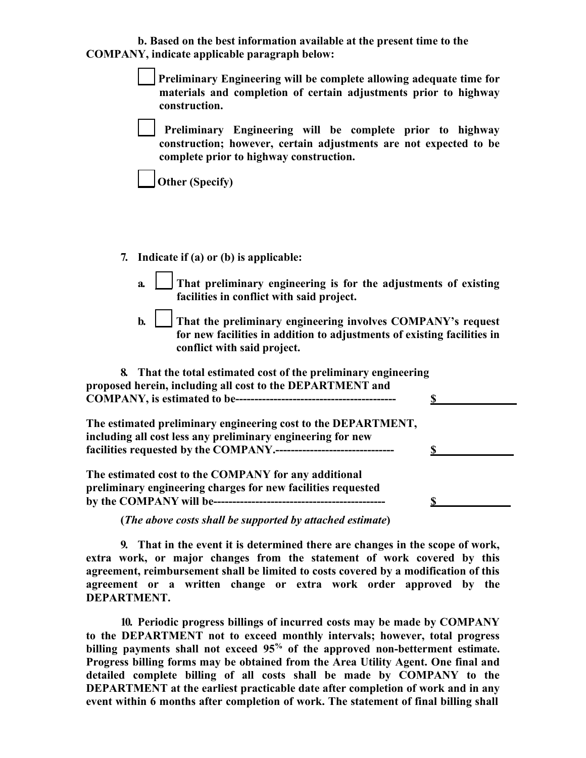**b. Based on the best information available at the present time to the COMPANY, indicate applicable paragraph below:**

> **\_\_ Preliminary Engineering will be complete allowing adequate time for materials and completion of certain adjustments prior to highway construction.**

**Preliminary Engineering will be complete prior to highway construction; however, certain adjustments are not expected to be complete prior to highway construction.**

**Other (Specify)**

**7. Indicate if (a) or (b) is applicable:**

- **a. That preliminary engineering is for the adjustments of existing facilities in conflict with said project.**
- **\_\_ b.** That the preliminary engineering involves COMPANY's request **for new facilities in addition to adjustments of existing facilities in conflict with said project.**

| 8. That the total estimated cost of the preliminary engineering<br>proposed herein, including all cost to the DEPARTMENT and |  |
|------------------------------------------------------------------------------------------------------------------------------|--|
|                                                                                                                              |  |
| The estimated preliminary engineering cost to the DEPARTMENT,<br>including all cost less any preliminary engineering for new |  |
|                                                                                                                              |  |
| The estimated cost to the COMPANY for any additional<br>preliminary engineering charges for new facilities requested         |  |
|                                                                                                                              |  |

**(***The above costs shall be supported by attached estimate***)** 

**9. That in the event it is determined there are changes in the scope of work, extra work, or major changes from the statement of work covered by this agreement, reimbursement shall be limited to costs covered by a modification of this agreement or a written change or extra work order approved by the DEPARTMENT.**

**10. Periodic progress billings of incurred costs may be made by COMPANY to the DEPARTMENT not to exceed monthly intervals; however, total progress billing payments shall not exceed 95% of the approved non-betterment estimate. Progress billing forms may be obtained from the Area Utility Agent. One final and detailed complete billing of all costs shall be made by COMPANY to the DEPARTMENT at the earliest practicable date after completion of work and in any event within 6 months after completion of work. The statement of final billing shall**